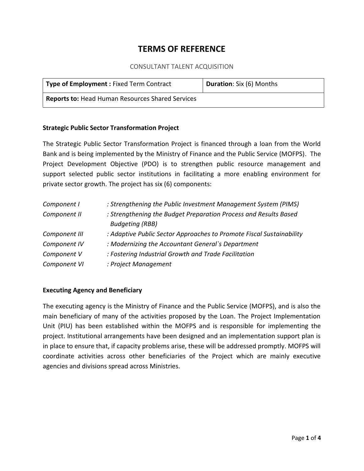# **TERMS OF REFERENCE**

## CONSULTANT TALENT ACQUISITION

| <b>Type of Employment: Fixed Term Contract</b>          | Duration: Six (6) Months |
|---------------------------------------------------------|--------------------------|
| <b>Reports to: Head Human Resources Shared Services</b> |                          |

## **Strategic Public Sector Transformation Project**

The Strategic Public Sector Transformation Project is financed through a loan from the World Bank and is being implemented by the Ministry of Finance and the Public Service (MOFPS). The Project Development Objective (PDO) is to strengthen public resource management and support selected public sector institutions in facilitating a more enabling environment for private sector growth. The project has six (6) components:

| Component I   | : Strengthening the Public Investment Management System (PIMS)                             |
|---------------|--------------------------------------------------------------------------------------------|
| Component II  | : Strengthening the Budget Preparation Process and Results Based<br><b>Budgeting (RBB)</b> |
| Component III | : Adaptive Public Sector Approaches to Promote Fiscal Sustainability                       |
| Component IV  | : Modernizing the Accountant General's Department                                          |
| Component V   | : Fostering Industrial Growth and Trade Facilitation                                       |
| Component VI  | : Project Management                                                                       |

#### **Executing Agency and Beneficiary**

The executing agency is the Ministry of Finance and the Public Service (MOFPS), and is also the main beneficiary of many of the activities proposed by the Loan. The Project Implementation Unit (PIU) has been established within the MOFPS and is responsible for implementing the project. Institutional arrangements have been designed and an implementation support plan is in place to ensure that, if capacity problems arise, these will be addressed promptly. MOFPS will coordinate activities across other beneficiaries of the Project which are mainly executive agencies and divisions spread across Ministries.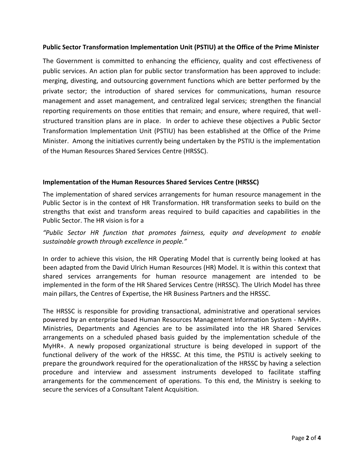## **Public Sector Transformation Implementation Unit (PSTIU) at the Office of the Prime Minister**

The Government is committed to enhancing the efficiency, quality and cost effectiveness of public services. An action plan for public sector transformation has been approved to include: merging, divesting, and outsourcing government functions which are better performed by the private sector; the introduction of shared services for communications, human resource management and asset management, and centralized legal services; strengthen the financial reporting requirements on those entities that remain; and ensure, where required, that well structured transition plans are in place. In order to achieve these objectives a Public Sector Transformation Implementation Unit (PSTIU) has been established at the Office of the Prime Minister. Among the initiatives currently being undertaken by the PSTIU is the implementation of the Human Resources Shared Services Centre (HRSSC).

## **Implementation of the Human Resources Shared Services Centre (HRSSC)**

The implementation of shared services arrangements for human resource management in the Public Sector is in the context of HR Transformation. HR transformation seeks to build on the strengths that exist and transform areas required to build capacities and capabilities in the Public Sector. The HR vision is for a

*"Public Sector HR function that promotes fairness, equity and development to enable sustainable growth through excellence in people."*

In order to achieve this vision, the HR Operating Model that is currently being looked at has been adapted from the David Ulrich Human Resources (HR) Model. It is within this context that shared services arrangements for human resource management are intended to be implemented in the form of the HR Shared Services Centre (HRSSC). The Ulrich Model has three main pillars, the Centres of Expertise, the HR Business Partners and the HRSSC.

The HRSSC is responsible for providing transactional, administrative and operational services powered by an enterprise based Human Resources Management Information System - MyHR+. Ministries, Departments and Agencies are to be assimilated into the HR Shared Services arrangements on a scheduled phased basis guided by the implementation schedule of the MyHR+. A newly proposed organizational structure is being developed in support of the functional delivery of the work of the HRSSC. At this time, the PSTIU is actively seeking to prepare the groundwork required for the operationalization of the HRSSC by having a selection procedure and interview and assessment instruments developed to facilitate staffing arrangements for the commencement of operations. To this end, the Ministry is seeking to secure the services of a Consultant Talent Acquisition.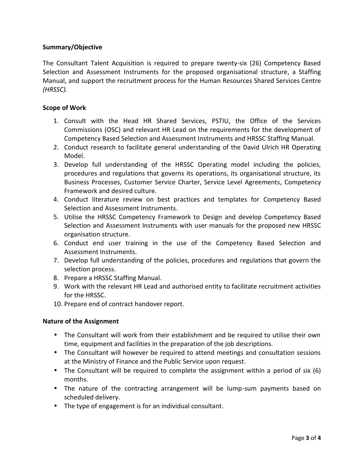## **Summary/Objective**

The Consultant Talent Acquisition is required to prepare twenty-six (26) Competency Based Selection and Assessment Instruments for the proposed organisational structure, a Staffing Manual, and support the recruitment process for the Human Resources Shared Services Centre *(HRSSC).*

## **Scope of Work**

- 1. Consult with the Head HR Shared Services, PSTIU, the Office of the Services Commissions (OSC) and relevant HR Lead on the requirements for the development of Competency Based Selection and Assessment Instruments and HRSSC Staffing Manual.
- 2. Conduct research to facilitate general understanding of the David Ulrich HR Operating Model.
- 3. Develop full understanding of the HRSSC Operating model including the policies, procedures and regulations that governs its operations, its organisational structure, its Business Processes, Customer Service Charter, Service Level Agreements, Competency Framework and desired culture.
- 4. Conduct literature review on best practices and templates for Competency Based Selection and Assessment Instruments.
- 5. Utilise the HRSSC Competency Framework to Design and develop Competency Based Selection and Assessment Instruments with user manuals for the proposed new HRSSC organisation structure.
- 6. Conduct end user training in the use of the Competency Based Selection and Assessment Instruments.
- 7. Develop full understanding of the policies, procedures and regulations that govern the selection process.
- 8. Prepare a HRSSC Staffing Manual.
- 9. Work with the relevant HR Lead and authorised entity to facilitate recruitment activities for the HRSSC.
- 10. Prepare end of contract handover report.

## **Nature of the Assignment**

- The Consultant will work from their establishment and be required to utilise their own time, equipment and facilities in the preparation of the job descriptions.
- The Consultant will however be required to attend meetings and consultation sessions at the Ministry of Finance and the Public Service upon request.
- The Consultant will be required to complete the assignment within a period of six (6) months.
- The nature of the contracting arrangement will be lump-sum payments based on scheduled delivery.
- The type of engagement is for an individual consultant.